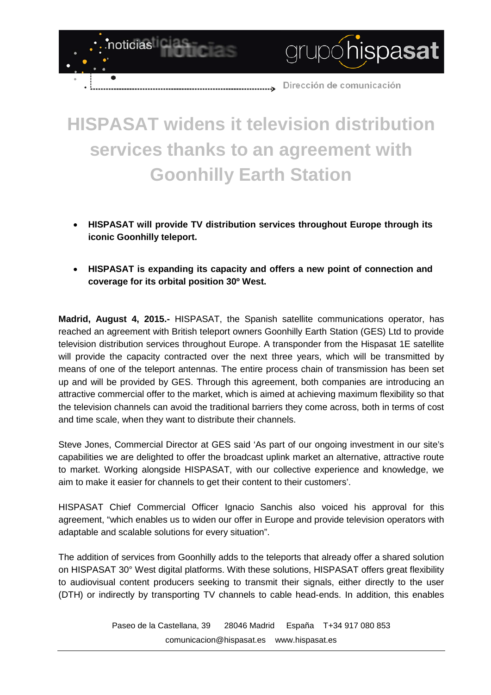

grupóhispasat

## **HISPASAT widens it television distribution services thanks to an agreement with Goonhilly Earth Station**

noticias

- **HISPASAT will provide TV distribution services throughout Europe through its iconic Goonhilly teleport.**
- **HISPASAT is expanding its capacity and offers a new point of connection and coverage for its orbital position 30º West.**

**Madrid, August 4, 2015.-** HISPASAT, the Spanish satellite communications operator, has reached an agreement with British teleport owners Goonhilly Earth Station (GES) Ltd to provide television distribution services throughout Europe. A transponder from the Hispasat 1E satellite will provide the capacity contracted over the next three years, which will be transmitted by means of one of the teleport antennas. The entire process chain of transmission has been set up and will be provided by GES. Through this agreement, both companies are introducing an attractive commercial offer to the market, which is aimed at achieving maximum flexibility so that the television channels can avoid the traditional barriers they come across, both in terms of cost and time scale, when they want to distribute their channels.

Steve Jones, Commercial Director at GES said 'As part of our ongoing investment in our site's capabilities we are delighted to offer the broadcast uplink market an alternative, attractive route to market. Working alongside HISPASAT, with our collective experience and knowledge, we aim to make it easier for channels to get their content to their customers'.

HISPASAT Chief Commercial Officer Ignacio Sanchis also voiced his approval for this agreement, "which enables us to widen our offer in Europe and provide television operators with adaptable and scalable solutions for every situation".

The addition of services from Goonhilly adds to the teleports that already offer a shared solution on HISPASAT 30° West digital platforms. With these solutions, HISPASAT offers great flexibility to audiovisual content producers seeking to transmit their signals, either directly to the user (DTH) or indirectly by transporting TV channels to cable head-ends. In addition, this enables